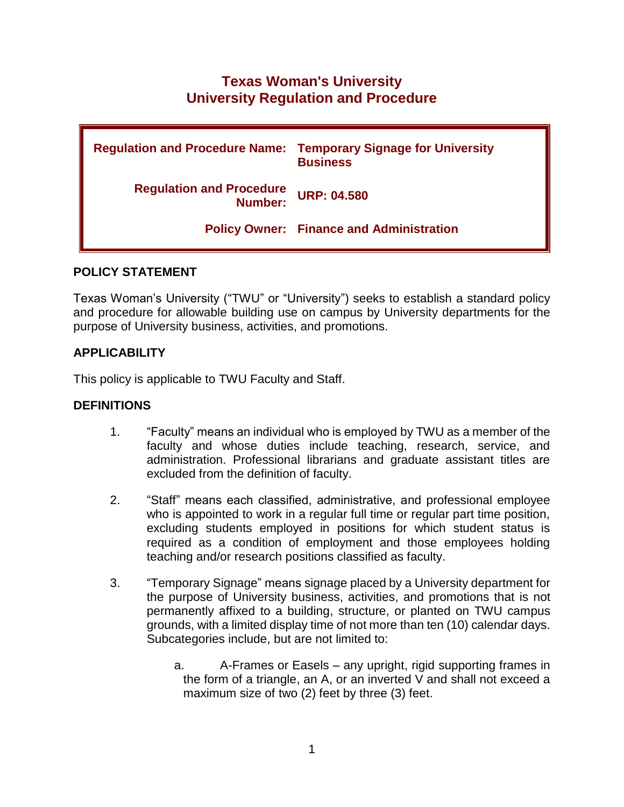# **Texas Woman's University University Regulation and Procedure**

| <b>Regulation and Procedure Name:</b>      | <b>Temporary Signage for University</b><br><b>Business</b> |
|--------------------------------------------|------------------------------------------------------------|
| <b>Regulation and Procedure</b><br>Number: | <b>URP: 04.580</b>                                         |
|                                            | <b>Policy Owner: Finance and Administration</b>            |

#### **POLICY STATEMENT**

Texas Woman's University ("TWU" or "University") seeks to establish a standard policy and procedure for allowable building use on campus by University departments for the purpose of University business, activities, and promotions.

## **APPLICABILITY**

This policy is applicable to TWU Faculty and Staff.

#### **DEFINITIONS**

- 1. "Faculty" means an individual who is employed by TWU as a member of the faculty and whose duties include teaching, research, service, and administration. Professional librarians and graduate assistant titles are excluded from the definition of faculty.
- 2. "Staff" means each classified, administrative, and professional employee who is appointed to work in a regular full time or regular part time position, excluding students employed in positions for which student status is required as a condition of employment and those employees holding teaching and/or research positions classified as faculty.
- 3. "Temporary Signage" means signage placed by a University department for the purpose of University business, activities, and promotions that is not permanently affixed to a building, structure, or planted on TWU campus grounds, with a limited display time of not more than ten (10) calendar days. Subcategories include, but are not limited to:
	- a. A-Frames or Easels any upright, rigid supporting frames in the form of a triangle, an A, or an inverted V and shall not exceed a maximum size of two (2) feet by three (3) feet.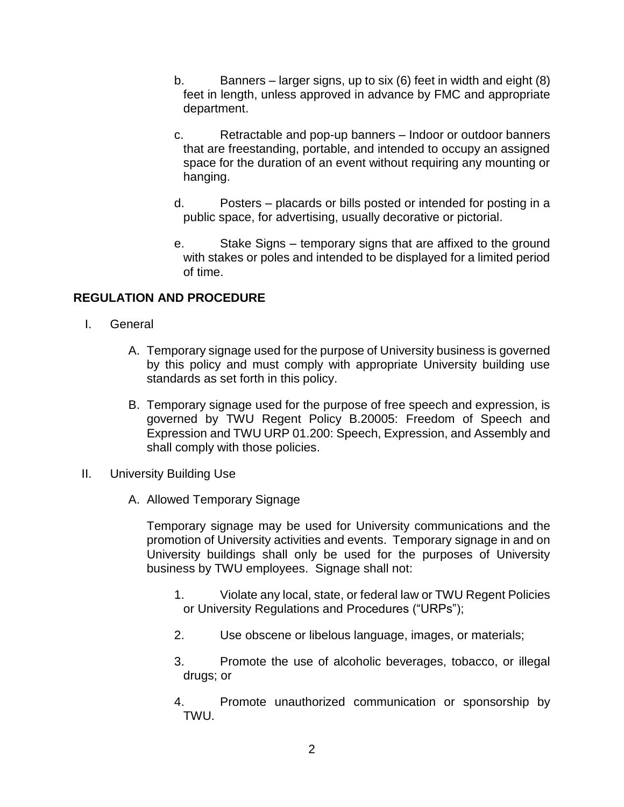- b. Banners larger signs, up to six (6) feet in width and eight (8) feet in length, unless approved in advance by FMC and appropriate department.
- c. Retractable and pop-up banners Indoor or outdoor banners that are freestanding, portable, and intended to occupy an assigned space for the duration of an event without requiring any mounting or hanging.
- d. Posters placards or bills posted or intended for posting in a public space, for advertising, usually decorative or pictorial.
- e. Stake Signs temporary signs that are affixed to the ground with stakes or poles and intended to be displayed for a limited period of time.

# **REGULATION AND PROCEDURE**

- I. General
	- A. Temporary signage used for the purpose of University business is governed by this policy and must comply with appropriate University building use standards as set forth in this policy.
	- B. Temporary signage used for the purpose of free speech and expression, is governed by TWU Regent Policy B.20005: Freedom of Speech and Expression and TWU URP 01.200: Speech, Expression, and Assembly and shall comply with those policies.
- II. University Building Use
	- A. Allowed Temporary Signage

Temporary signage may be used for University communications and the promotion of University activities and events. Temporary signage in and on University buildings shall only be used for the purposes of University business by TWU employees. Signage shall not:

- 1. Violate any local, state, or federal law or TWU Regent Policies or University Regulations and Procedures ("URPs");
- 2. Use obscene or libelous language, images, or materials;
- 3. Promote the use of alcoholic beverages, tobacco, or illegal drugs; or
- 4. Promote unauthorized communication or sponsorship by TWU.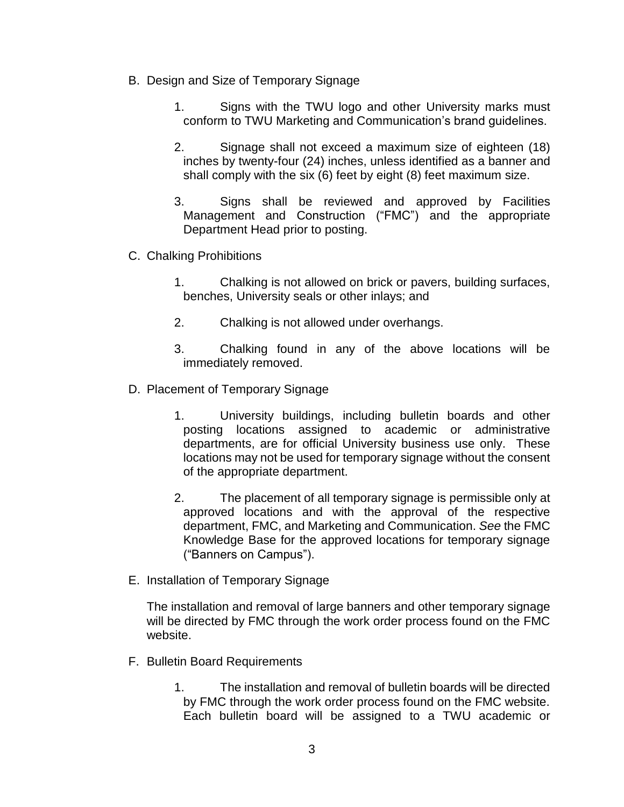- B. Design and Size of Temporary Signage
	- 1. Signs with the TWU logo and other University marks must conform to TWU Marketing and Communication's brand guidelines.
	- 2. Signage shall not exceed a maximum size of eighteen (18) inches by twenty-four (24) inches, unless identified as a banner and shall comply with the six (6) feet by eight (8) feet maximum size.
	- 3. Signs shall be reviewed and approved by Facilities Management and Construction ("FMC") and the appropriate Department Head prior to posting.
- C. Chalking Prohibitions
	- 1. Chalking is not allowed on brick or pavers, building surfaces, benches, University seals or other inlays; and
	- 2. Chalking is not allowed under overhangs.
	- 3. Chalking found in any of the above locations will be immediately removed.
- D. Placement of Temporary Signage
	- 1. University buildings, including bulletin boards and other posting locations assigned to academic or administrative departments, are for official University business use only. These locations may not be used for temporary signage without the consent of the appropriate department.
	- 2. The placement of all temporary signage is permissible only at approved locations and with the approval of the respective department, FMC, and Marketing and Communication. *See* the FMC Knowledge Base for the approved locations for temporary signage ("Banners on Campus").
- E. Installation of Temporary Signage

The installation and removal of large banners and other temporary signage will be directed by FMC through the work order process found on the FMC website.

- F. Bulletin Board Requirements
	- 1. The installation and removal of bulletin boards will be directed by FMC through the work order process found on the FMC website. Each bulletin board will be assigned to a TWU academic or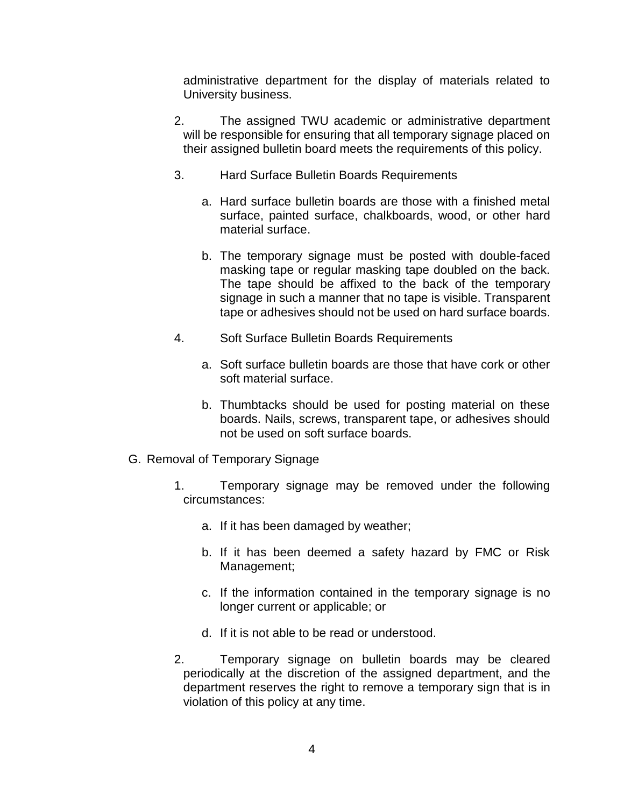administrative department for the display of materials related to University business.

- 2. The assigned TWU academic or administrative department will be responsible for ensuring that all temporary signage placed on their assigned bulletin board meets the requirements of this policy.
- 3. Hard Surface Bulletin Boards Requirements
	- a. Hard surface bulletin boards are those with a finished metal surface, painted surface, chalkboards, wood, or other hard material surface.
	- b. The temporary signage must be posted with double-faced masking tape or regular masking tape doubled on the back. The tape should be affixed to the back of the temporary signage in such a manner that no tape is visible. Transparent tape or adhesives should not be used on hard surface boards.
- 4. Soft Surface Bulletin Boards Requirements
	- a. Soft surface bulletin boards are those that have cork or other soft material surface.
	- b. Thumbtacks should be used for posting material on these boards. Nails, screws, transparent tape, or adhesives should not be used on soft surface boards.
- G. Removal of Temporary Signage
	- 1. Temporary signage may be removed under the following circumstances:
		- a. If it has been damaged by weather;
		- b. If it has been deemed a safety hazard by FMC or Risk Management;
		- c. If the information contained in the temporary signage is no longer current or applicable; or
		- d. If it is not able to be read or understood.
	- 2. Temporary signage on bulletin boards may be cleared periodically at the discretion of the assigned department, and the department reserves the right to remove a temporary sign that is in violation of this policy at any time.